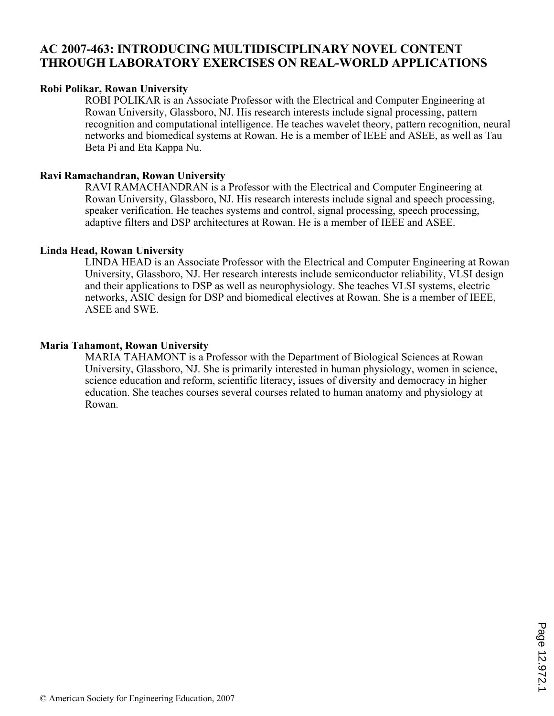# **AC 2007-463: INTRODUCING MULTIDISCIPLINARY NOVEL CONTENT THROUGH LABORATORY EXERCISES ON REAL-WORLD APPLICATIONS**

## **Robi Polikar, Rowan University**

ROBI POLIKAR is an Associate Professor with the Electrical and Computer Engineering at Rowan University, Glassboro, NJ. His research interests include signal processing, pattern recognition and computational intelligence. He teaches wavelet theory, pattern recognition, neural networks and biomedical systems at Rowan. He is a member of IEEE and ASEE, as well as Tau Beta Pi and Eta Kappa Nu.

# **Ravi Ramachandran, Rowan University**

RAVI RAMACHANDRAN is a Professor with the Electrical and Computer Engineering at Rowan University, Glassboro, NJ. His research interests include signal and speech processing, speaker verification. He teaches systems and control, signal processing, speech processing, adaptive filters and DSP architectures at Rowan. He is a member of IEEE and ASEE.

# **Linda Head, Rowan University**

LINDA HEAD is an Associate Professor with the Electrical and Computer Engineering at Rowan University, Glassboro, NJ. Her research interests include semiconductor reliability, VLSI design and their applications to DSP as well as neurophysiology. She teaches VLSI systems, electric networks, ASIC design for DSP and biomedical electives at Rowan. She is a member of IEEE, ASEE and SWE.

# **Maria Tahamont, Rowan University**

MARIA TAHAMONT is a Professor with the Department of Biological Sciences at Rowan University, Glassboro, NJ. She is primarily interested in human physiology, women in science, science education and reform, scientific literacy, issues of diversity and democracy in higher education. She teaches courses several courses related to human anatomy and physiology at Rowan.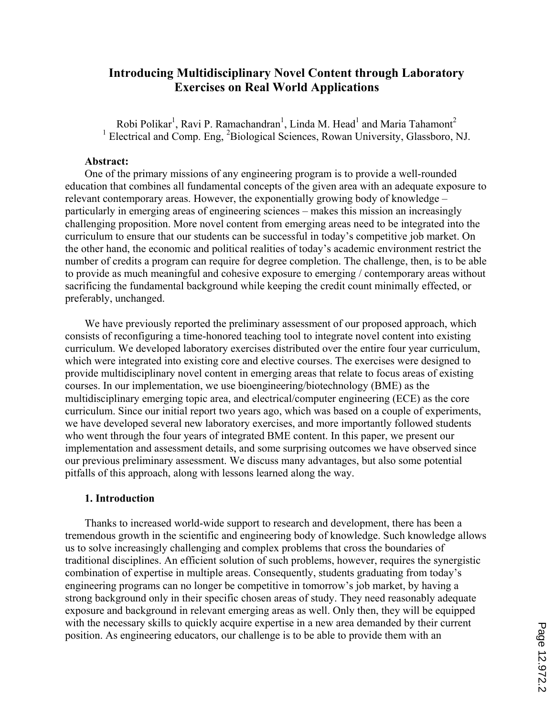# **Introducing Multidisciplinary Novel Content through Laboratory Exercises on Real World Applications**

Robi Polikar<sup>1</sup>, Ravi P. Ramachandran<sup>1</sup>, Linda M. Head<sup>1</sup> and Maria Tahamont<sup>2</sup> <sup>1</sup> Electrical and Comp. Eng, <sup>2</sup>Biological Sciences, Rowan University, Glassboro, NJ.

### **Abstract:**

One of the primary missions of any engineering program is to provide a well-rounded education that combines all fundamental concepts of the given area with an adequate exposure to relevant contemporary areas. However, the exponentially growing body of knowledge – particularly in emerging areas of engineering sciences – makes this mission an increasingly challenging proposition. More novel content from emerging areas need to be integrated into the curriculum to ensure that our students can be successful in today's competitive job market. On the other hand, the economic and political realities of today's academic environment restrict the number of credits a program can require for degree completion. The challenge, then, is to be able to provide as much meaningful and cohesive exposure to emerging / contemporary areas without sacrificing the fundamental background while keeping the credit count minimally effected, or preferably, unchanged.

We have previously reported the preliminary assessment of our proposed approach, which consists of reconfiguring a time-honored teaching tool to integrate novel content into existing curriculum. We developed laboratory exercises distributed over the entire four year curriculum, which were integrated into existing core and elective courses. The exercises were designed to provide multidisciplinary novel content in emerging areas that relate to focus areas of existing courses. In our implementation, we use bioengineering/biotechnology (BME) as the multidisciplinary emerging topic area, and electrical/computer engineering (ECE) as the core curriculum. Since our initial report two years ago, which was based on a couple of experiments, we have developed several new laboratory exercises, and more importantly followed students who went through the four years of integrated BME content. In this paper, we present our implementation and assessment details, and some surprising outcomes we have observed since our previous preliminary assessment. We discuss many advantages, but also some potential pitfalls of this approach, along with lessons learned along the way.

## **1. Introduction**

Thanks to increased world-wide support to research and development, there has been a tremendous growth in the scientific and engineering body of knowledge. Such knowledge allows us to solve increasingly challenging and complex problems that cross the boundaries of traditional disciplines. An efficient solution of such problems, however, requires the synergistic combination of expertise in multiple areas. Consequently, students graduating from today's engineering programs can no longer be competitive in tomorrow's job market, by having a strong background only in their specific chosen areas of study. They need reasonably adequate exposure and background in relevant emerging areas as well. Only then, they will be equipped with the necessary skills to quickly acquire expertise in a new area demanded by their current position. As engineering educators, our challenge is to be able to provide them with an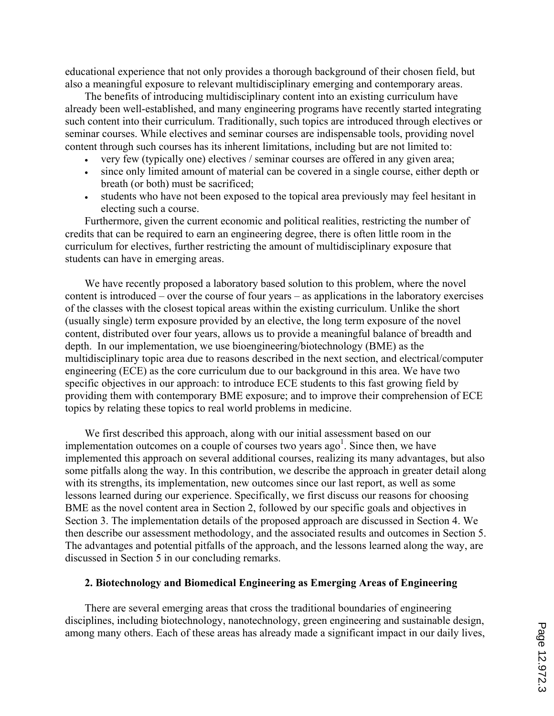educational experience that not only provides a thorough background of their chosen field, but also a meaningful exposure to relevant multidisciplinary emerging and contemporary areas.

The benefits of introducing multidisciplinary content into an existing curriculum have already been well-established, and many engineering programs have recently started integrating such content into their curriculum. Traditionally, such topics are introduced through electives or seminar courses. While electives and seminar courses are indispensable tools, providing novel content through such courses has its inherent limitations, including but are not limited to:

- ' very few (typically one) electives / seminar courses are offered in any given area;
- ' since only limited amount of material can be covered in a single course, either depth or breath (or both) must be sacrificed;
- ' students who have not been exposed to the topical area previously may feel hesitant in electing such a course.

Furthermore, given the current economic and political realities, restricting the number of credits that can be required to earn an engineering degree, there is often little room in the curriculum for electives, further restricting the amount of multidisciplinary exposure that students can have in emerging areas.

We have recently proposed a laboratory based solution to this problem, where the novel content is introduced – over the course of four years – as applications in the laboratory exercises of the classes with the closest topical areas within the existing curriculum. Unlike the short (usually single) term exposure provided by an elective, the long term exposure of the novel content, distributed over four years, allows us to provide a meaningful balance of breadth and depth. In our implementation, we use bioengineering/biotechnology (BME) as the multidisciplinary topic area due to reasons described in the next section, and electrical/computer engineering (ECE) as the core curriculum due to our background in this area. We have two specific objectives in our approach: to introduce ECE students to this fast growing field by providing them with contemporary BME exposure; and to improve their comprehension of ECE topics by relating these topics to real world problems in medicine.

We first described this approach, along with our initial assessment based on our implementation outcomes on a couple of courses two years  $ago<sup>1</sup>$ . Since then, we have implemented this approach on several additional courses, realizing its many advantages, but also some pitfalls along the way. In this contribution, we describe the approach in greater detail along with its strengths, its implementation, new outcomes since our last report, as well as some lessons learned during our experience. Specifically, we first discuss our reasons for choosing BME as the novel content area in Section 2, followed by our specific goals and objectives in Section 3. The implementation details of the proposed approach are discussed in Section 4. We then describe our assessment methodology, and the associated results and outcomes in Section 5. The advantages and potential pitfalls of the approach, and the lessons learned along the way, are discussed in Section 5 in our concluding remarks.

### **2. Biotechnology and Biomedical Engineering as Emerging Areas of Engineering**

There are several emerging areas that cross the traditional boundaries of engineering disciplines, including biotechnology, nanotechnology, green engineering and sustainable design, among many others. Each of these areas has already made a significant impact in our daily lives,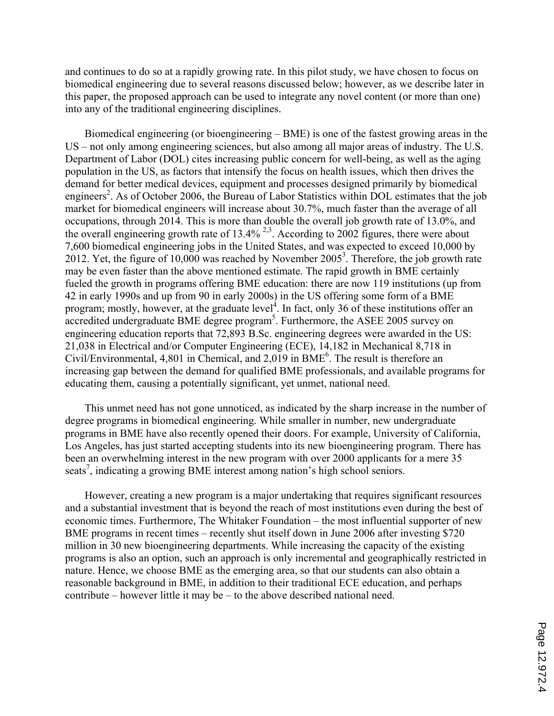and continues to do so at a rapidly growing rate. In this pilot study, we have chosen to focus on biomedical engineering due to several reasons discussed below; however, as we describe later in this paper, the proposed approach can be used to integrate any novel content (or more than one) into any of the traditional engineering disciplines.

Biomedical engineering (or bioengineering – BME) is one of the fastest growing areas in the US – not only among engineering sciences, but also among all major areas of industry. The U.S. Department of Labor (DOL) cites increasing public concern for well-being, as well as the aging population in the US, as factors that intensify the focus on health issues, which then drives the demand for better medical devices, equipment and processes designed primarily by biomedical engineers<sup>2</sup>. As of October 2006, the Bureau of Labor Statistics within DOL estimates that the job market for biomedical engineers will increase about 30.7%, much faster than the average of all occupations, through 2014. This is more than double the overall job growth rate of 13.0%, and the overall engineering growth rate of  $13.4\%$ <sup>2,3</sup>. According to 2002 figures, there were about 7,600 biomedical engineering jobs in the United States, and was expected to exceed 10,000 by 2012. Yet, the figure of 10,000 was reached by November 2005<sup>3</sup>. Therefore, the job growth rate may be even faster than the above mentioned estimate. The rapid growth in BME certainly fueled the growth in programs offering BME education: there are now 119 institutions (up from 42 in early 1990s and up from 90 in early 2000s) in the US offering some form of a BME program; mostly, however, at the graduate level<sup>4</sup>. In fact, only 36 of these institutions offer an accredited undergraduate BME degree program<sup>5</sup>. Furthermore, the ASEE 2005 survey on engineering education reports that 72,893 B.Sc. engineering degrees were awarded in the US: 21,038 in Electrical and/or Computer Engineering (ECE), 14,182 in Mechanical 8,718 in Civil/Environmental,  $4,801$  in Chemical, and  $2,019$  in BME<sup>6</sup>. The result is therefore an increasing gap between the demand for qualified BME professionals, and available programs for educating them, causing a potentially significant, yet unmet, national need.

This unmet need has not gone unnoticed, as indicated by the sharp increase in the number of degree programs in biomedical engineering. While smaller in number, new undergraduate programs in BME have also recently opened their doors. For example, University of California, Los Angeles, has just started accepting students into its new bioengineering program. There has been an overwhelming interest in the new program with over 2000 applicants for a mere 35 seats<sup>7</sup>, indicating a growing BME interest among nation's high school seniors.

However, creating a new program is a major undertaking that requires significant resources and a substantial investment that is beyond the reach of most institutions even during the best of economic times. Furthermore, The Whitaker Foundation – the most influential supporter of new BME programs in recent times – recently shut itself down in June 2006 after investing \$720 million in 30 new bioengineering departments. While increasing the capacity of the existing programs is also an option, such an approach is only incremental and geographically restricted in nature. Hence, we choose BME as the emerging area, so that our students can also obtain a reasonable background in BME, in addition to their traditional ECE education, and perhaps contribute – however little it may be – to the above described national need.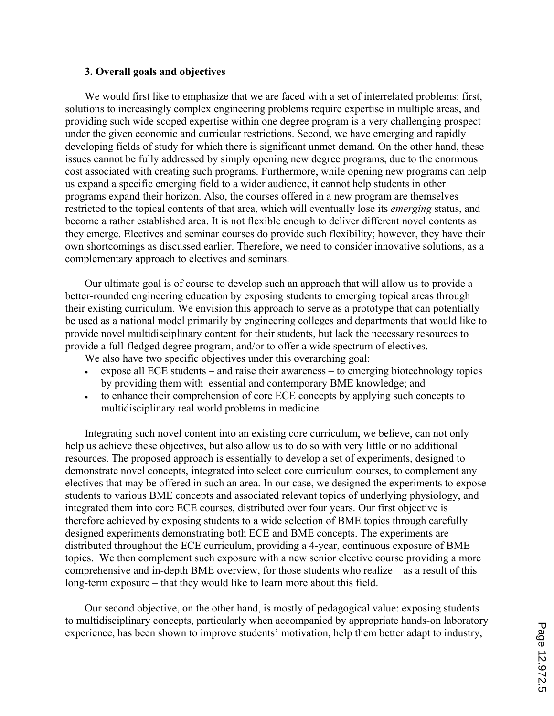## **3. Overall goals and objectives**

We would first like to emphasize that we are faced with a set of interrelated problems: first, solutions to increasingly complex engineering problems require expertise in multiple areas, and providing such wide scoped expertise within one degree program is a very challenging prospect under the given economic and curricular restrictions. Second, we have emerging and rapidly developing fields of study for which there is significant unmet demand. On the other hand, these issues cannot be fully addressed by simply opening new degree programs, due to the enormous cost associated with creating such programs. Furthermore, while opening new programs can help us expand a specific emerging field to a wider audience, it cannot help students in other programs expand their horizon. Also, the courses offered in a new program are themselves restricted to the topical contents of that area, which will eventually lose its *emerging* status, and become a rather established area. It is not flexible enough to deliver different novel contents as they emerge. Electives and seminar courses do provide such flexibility; however, they have their own shortcomings as discussed earlier. Therefore, we need to consider innovative solutions, as a complementary approach to electives and seminars.

Our ultimate goal is of course to develop such an approach that will allow us to provide a better-rounded engineering education by exposing students to emerging topical areas through their existing curriculum. We envision this approach to serve as a prototype that can potentially be used as a national model primarily by engineering colleges and departments that would like to provide novel multidisciplinary content for their students, but lack the necessary resources to provide a full-fledged degree program, and/or to offer a wide spectrum of electives.

We also have two specific objectives under this overarching goal:

- ' expose all ECE students and raise their awareness to emerging biotechnology topics by providing them with essential and contemporary BME knowledge; and
- ' to enhance their comprehension of core ECE concepts by applying such concepts to multidisciplinary real world problems in medicine.

Integrating such novel content into an existing core curriculum, we believe, can not only help us achieve these objectives, but also allow us to do so with very little or no additional resources. The proposed approach is essentially to develop a set of experiments, designed to demonstrate novel concepts, integrated into select core curriculum courses, to complement any electives that may be offered in such an area. In our case, we designed the experiments to expose students to various BME concepts and associated relevant topics of underlying physiology, and integrated them into core ECE courses, distributed over four years. Our first objective is therefore achieved by exposing students to a wide selection of BME topics through carefully designed experiments demonstrating both ECE and BME concepts. The experiments are distributed throughout the ECE curriculum, providing a 4-year, continuous exposure of BME topics. We then complement such exposure with a new senior elective course providing a more comprehensive and in-depth BME overview, for those students who realize – as a result of this long-term exposure – that they would like to learn more about this field.

Our second objective, on the other hand, is mostly of pedagogical value: exposing students to multidisciplinary concepts, particularly when accompanied by appropriate hands-on laboratory experience, has been shown to improve students' motivation, help them better adapt to industry,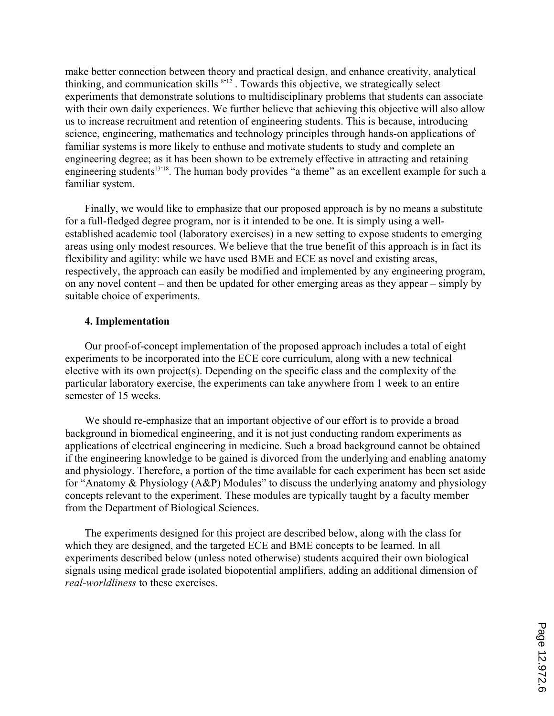make better connection between theory and practical design, and enhance creativity, analytical thinking, and communication skills  $s-12$ . Towards this objective, we strategically select experiments that demonstrate solutions to multidisciplinary problems that students can associate with their own daily experiences. We further believe that achieving this objective will also allow us to increase recruitment and retention of engineering students. This is because, introducing science, engineering, mathematics and technology principles through hands-on applications of familiar systems is more likely to enthuse and motivate students to study and complete an engineering degree; as it has been shown to be extremely effective in attracting and retaining engineering students<sup>13-18</sup>. The human body provides "a theme" as an excellent example for such a familiar system.

Finally, we would like to emphasize that our proposed approach is by no means a substitute for a full-fledged degree program, nor is it intended to be one. It is simply using a wellestablished academic tool (laboratory exercises) in a new setting to expose students to emerging areas using only modest resources. We believe that the true benefit of this approach is in fact its flexibility and agility: while we have used BME and ECE as novel and existing areas, respectively, the approach can easily be modified and implemented by any engineering program, on any novel content – and then be updated for other emerging areas as they appear – simply by suitable choice of experiments.

#### **4. Implementation**

Our proof-of-concept implementation of the proposed approach includes a total of eight experiments to be incorporated into the ECE core curriculum, along with a new technical elective with its own project(s). Depending on the specific class and the complexity of the particular laboratory exercise, the experiments can take anywhere from 1 week to an entire semester of 15 weeks.

We should re-emphasize that an important objective of our effort is to provide a broad background in biomedical engineering, and it is not just conducting random experiments as applications of electrical engineering in medicine. Such a broad background cannot be obtained if the engineering knowledge to be gained is divorced from the underlying and enabling anatomy and physiology. Therefore, a portion of the time available for each experiment has been set aside for "Anatomy & Physiology (A&P) Modules" to discuss the underlying anatomy and physiology concepts relevant to the experiment. These modules are typically taught by a faculty member from the Department of Biological Sciences.

The experiments designed for this project are described below, along with the class for which they are designed, and the targeted ECE and BME concepts to be learned. In all experiments described below (unless noted otherwise) students acquired their own biological signals using medical grade isolated biopotential amplifiers, adding an additional dimension of *real-worldliness* to these exercises.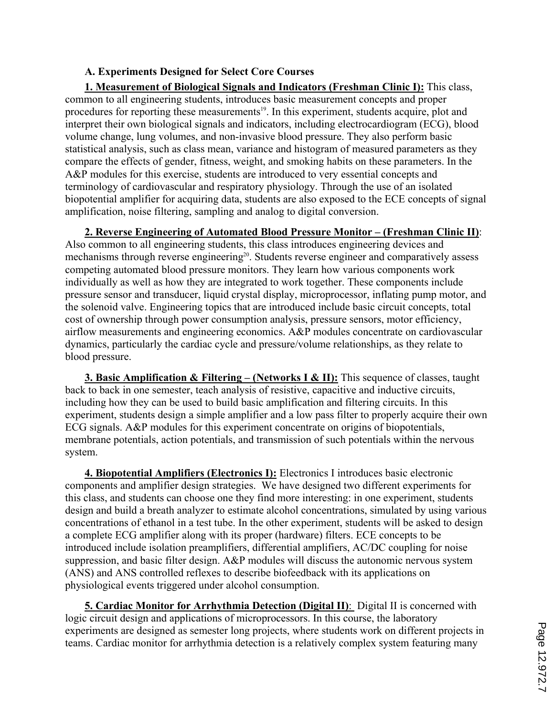# **A. Experiments Designed for Select Core Courses**

**1. Measurement of Biological Signals and Indicators (Freshman Clinic I):** This class, common to all engineering students, introduces basic measurement concepts and proper procedures for reporting these measurements<sup>19</sup>. In this experiment, students acquire, plot and interpret their own biological signals and indicators, including electrocardiogram (ECG), blood volume change, lung volumes, and non-invasive blood pressure. They also perform basic statistical analysis, such as class mean, variance and histogram of measured parameters as they compare the effects of gender, fitness, weight, and smoking habits on these parameters. In the A&P modules for this exercise, students are introduced to very essential concepts and terminology of cardiovascular and respiratory physiology. Through the use of an isolated biopotential amplifier for acquiring data, students are also exposed to the ECE concepts of signal amplification, noise filtering, sampling and analog to digital conversion.

**2. Reverse Engineering of Automated Blood Pressure Monitor – (Freshman Clinic II)**: Also common to all engineering students, this class introduces engineering devices and mechanisms through reverse engineering<sup>20</sup>. Students reverse engineer and comparatively assess competing automated blood pressure monitors. They learn how various components work individually as well as how they are integrated to work together. These components include pressure sensor and transducer, liquid crystal display, microprocessor, inflating pump motor, and the solenoid valve. Engineering topics that are introduced include basic circuit concepts, total cost of ownership through power consumption analysis, pressure sensors, motor efficiency, airflow measurements and engineering economics. A&P modules concentrate on cardiovascular dynamics, particularly the cardiac cycle and pressure/volume relationships, as they relate to blood pressure.

**3. Basic Amplification & Filtering – (Networks I & II):** This sequence of classes, taught back to back in one semester, teach analysis of resistive, capacitive and inductive circuits, including how they can be used to build basic amplification and filtering circuits. In this experiment, students design a simple amplifier and a low pass filter to properly acquire their own ECG signals. A&P modules for this experiment concentrate on origins of biopotentials, membrane potentials, action potentials, and transmission of such potentials within the nervous system.

**4. Biopotential Amplifiers (Electronics I):** Electronics I introduces basic electronic components and amplifier design strategies. We have designed two different experiments for this class, and students can choose one they find more interesting: in one experiment, students design and build a breath analyzer to estimate alcohol concentrations, simulated by using various concentrations of ethanol in a test tube. In the other experiment, students will be asked to design a complete ECG amplifier along with its proper (hardware) filters. ECE concepts to be introduced include isolation preamplifiers, differential amplifiers, AC/DC coupling for noise suppression, and basic filter design. A&P modules will discuss the autonomic nervous system (ANS) and ANS controlled reflexes to describe biofeedback with its applications on physiological events triggered under alcohol consumption.

**5. Cardiac Monitor for Arrhythmia Detection (Digital II)**: Digital II is concerned with logic circuit design and applications of microprocessors. In this course, the laboratory experiments are designed as semester long projects, where students work on different projects in teams. Cardiac monitor for arrhythmia detection is a relatively complex system featuring many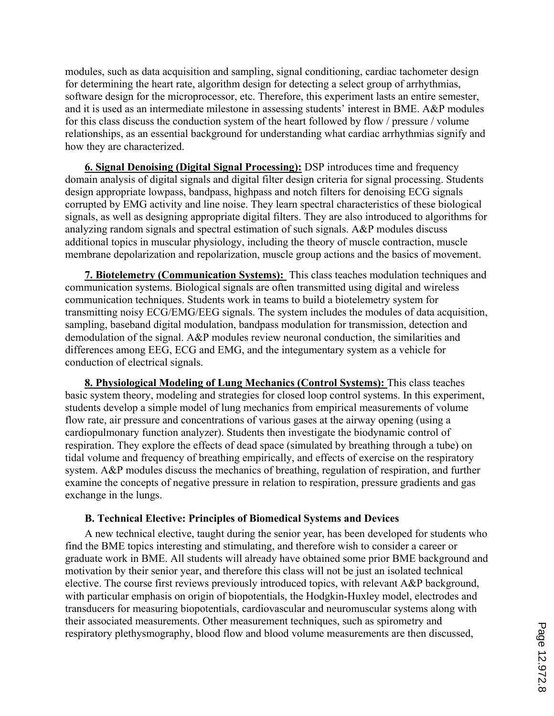modules, such as data acquisition and sampling, signal conditioning, cardiac tachometer design for determining the heart rate, algorithm design for detecting a select group of arrhythmias, software design for the microprocessor, etc. Therefore, this experiment lasts an entire semester, and it is used as an intermediate milestone in assessing students' interest in BME. A&P modules for this class discuss the conduction system of the heart followed by flow / pressure / volume relationships, as an essential background for understanding what cardiac arrhythmias signify and how they are characterized.

**6. Signal Denoising (Digital Signal Processing):** DSP introduces time and frequency domain analysis of digital signals and digital filter design criteria for signal processing. Students design appropriate lowpass, bandpass, highpass and notch filters for denoising ECG signals corrupted by EMG activity and line noise. They learn spectral characteristics of these biological signals, as well as designing appropriate digital filters. They are also introduced to algorithms for analyzing random signals and spectral estimation of such signals. A&P modules discuss additional topics in muscular physiology, including the theory of muscle contraction, muscle membrane depolarization and repolarization, muscle group actions and the basics of movement.

**7. Biotelemetry (Communication Systems):** This class teaches modulation techniques and communication systems. Biological signals are often transmitted using digital and wireless communication techniques. Students work in teams to build a biotelemetry system for transmitting noisy ECG/EMG/EEG signals. The system includes the modules of data acquisition, sampling, baseband digital modulation, bandpass modulation for transmission, detection and demodulation of the signal. A&P modules review neuronal conduction, the similarities and differences among EEG, ECG and EMG, and the integumentary system as a vehicle for conduction of electrical signals.

**8. Physiological Modeling of Lung Mechanics (Control Systems):** This class teaches basic system theory, modeling and strategies for closed loop control systems. In this experiment, students develop a simple model of lung mechanics from empirical measurements of volume flow rate, air pressure and concentrations of various gases at the airway opening (using a cardiopulmonary function analyzer). Students then investigate the biodynamic control of respiration. They explore the effects of dead space (simulated by breathing through a tube) on tidal volume and frequency of breathing empirically, and effects of exercise on the respiratory system. A&P modules discuss the mechanics of breathing, regulation of respiration, and further examine the concepts of negative pressure in relation to respiration, pressure gradients and gas exchange in the lungs.

#### **B. Technical Elective: Principles of Biomedical Systems and Devices**

A new technical elective, taught during the senior year, has been developed for students who find the BME topics interesting and stimulating, and therefore wish to consider a career or graduate work in BME. All students will already have obtained some prior BME background and motivation by their senior year, and therefore this class will not be just an isolated technical elective. The course first reviews previously introduced topics, with relevant A&P background, with particular emphasis on origin of biopotentials, the Hodgkin-Huxley model, electrodes and transducers for measuring biopotentials, cardiovascular and neuromuscular systems along with their associated measurements. Other measurement techniques, such as spirometry and respiratory plethysmography, blood flow and blood volume measurements are then discussed,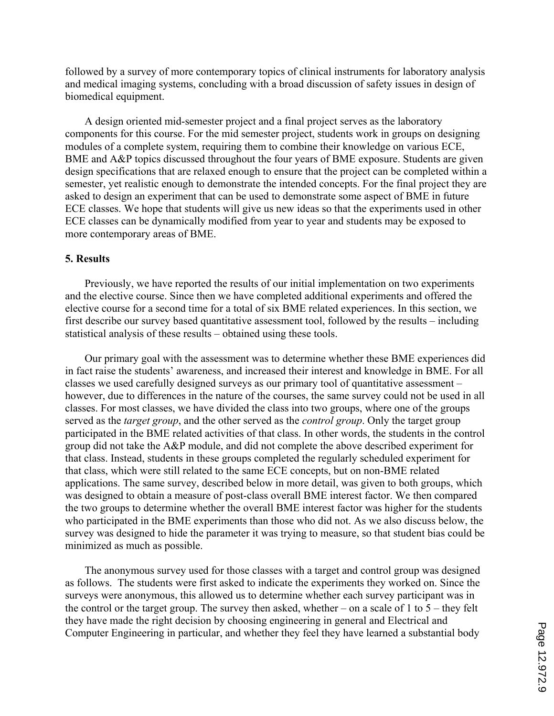followed by a survey of more contemporary topics of clinical instruments for laboratory analysis and medical imaging systems, concluding with a broad discussion of safety issues in design of biomedical equipment.

A design oriented mid-semester project and a final project serves as the laboratory components for this course. For the mid semester project, students work in groups on designing modules of a complete system, requiring them to combine their knowledge on various ECE, BME and A&P topics discussed throughout the four years of BME exposure. Students are given design specifications that are relaxed enough to ensure that the project can be completed within a semester, yet realistic enough to demonstrate the intended concepts. For the final project they are asked to design an experiment that can be used to demonstrate some aspect of BME in future ECE classes. We hope that students will give us new ideas so that the experiments used in other ECE classes can be dynamically modified from year to year and students may be exposed to more contemporary areas of BME.

## **5. Results**

Previously, we have reported the results of our initial implementation on two experiments and the elective course. Since then we have completed additional experiments and offered the elective course for a second time for a total of six BME related experiences. In this section, we first describe our survey based quantitative assessment tool, followed by the results – including statistical analysis of these results – obtained using these tools.

Our primary goal with the assessment was to determine whether these BME experiences did in fact raise the students' awareness, and increased their interest and knowledge in BME. For all classes we used carefully designed surveys as our primary tool of quantitative assessment – however, due to differences in the nature of the courses, the same survey could not be used in all classes. For most classes, we have divided the class into two groups, where one of the groups served as the *target group*, and the other served as the *control group*. Only the target group participated in the BME related activities of that class. In other words, the students in the control group did not take the A&P module, and did not complete the above described experiment for that class. Instead, students in these groups completed the regularly scheduled experiment for that class, which were still related to the same ECE concepts, but on non-BME related applications. The same survey, described below in more detail, was given to both groups, which was designed to obtain a measure of post-class overall BME interest factor. We then compared the two groups to determine whether the overall BME interest factor was higher for the students who participated in the BME experiments than those who did not. As we also discuss below, the survey was designed to hide the parameter it was trying to measure, so that student bias could be minimized as much as possible.

The anonymous survey used for those classes with a target and control group was designed as follows. The students were first asked to indicate the experiments they worked on. Since the surveys were anonymous, this allowed us to determine whether each survey participant was in the control or the target group. The survey then asked, whether – on a scale of 1 to  $5$  – they felt they have made the right decision by choosing engineering in general and Electrical and Computer Engineering in particular, and whether they feel they have learned a substantial body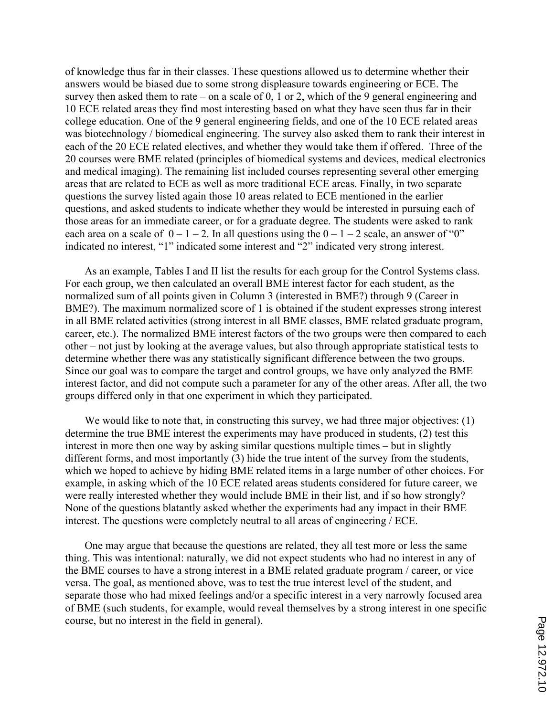of knowledge thus far in their classes. These questions allowed us to determine whether their answers would be biased due to some strong displeasure towards engineering or ECE. The survey then asked them to rate – on a scale of  $0$ , 1 or 2, which of the 9 general engineering and 10 ECE related areas they find most interesting based on what they have seen thus far in their college education. One of the 9 general engineering fields, and one of the 10 ECE related areas was biotechnology / biomedical engineering. The survey also asked them to rank their interest in each of the 20 ECE related electives, and whether they would take them if offered. Three of the 20 courses were BME related (principles of biomedical systems and devices, medical electronics and medical imaging). The remaining list included courses representing several other emerging areas that are related to ECE as well as more traditional ECE areas. Finally, in two separate questions the survey listed again those 10 areas related to ECE mentioned in the earlier questions, and asked students to indicate whether they would be interested in pursuing each of those areas for an immediate career, or for a graduate degree. The students were asked to rank each area on a scale of  $0 - 1 - 2$ . In all questions using the  $0 - 1 - 2$  scale, an answer of "0" indicated no interest, "1" indicated some interest and "2" indicated very strong interest.

As an example, Tables I and II list the results for each group for the Control Systems class. For each group, we then calculated an overall BME interest factor for each student, as the normalized sum of all points given in Column 3 (interested in BME?) through 9 (Career in BME?). The maximum normalized score of 1 is obtained if the student expresses strong interest in all BME related activities (strong interest in all BME classes, BME related graduate program, career, etc.). The normalized BME interest factors of the two groups were then compared to each other – not just by looking at the average values, but also through appropriate statistical tests to determine whether there was any statistically significant difference between the two groups. Since our goal was to compare the target and control groups, we have only analyzed the BME interest factor, and did not compute such a parameter for any of the other areas. After all, the two groups differed only in that one experiment in which they participated.

We would like to note that, in constructing this survey, we had three major objectives: (1) determine the true BME interest the experiments may have produced in students, (2) test this interest in more then one way by asking similar questions multiple times – but in slightly different forms, and most importantly (3) hide the true intent of the survey from the students, which we hoped to achieve by hiding BME related items in a large number of other choices. For example, in asking which of the 10 ECE related areas students considered for future career, we were really interested whether they would include BME in their list, and if so how strongly? None of the questions blatantly asked whether the experiments had any impact in their BME interest. The questions were completely neutral to all areas of engineering / ECE.

One may argue that because the questions are related, they all test more or less the same thing. This was intentional: naturally, we did not expect students who had no interest in any of the BME courses to have a strong interest in a BME related graduate program / career, or vice versa. The goal, as mentioned above, was to test the true interest level of the student, and separate those who had mixed feelings and/or a specific interest in a very narrowly focused area of BME (such students, for example, would reveal themselves by a strong interest in one specific course, but no interest in the field in general).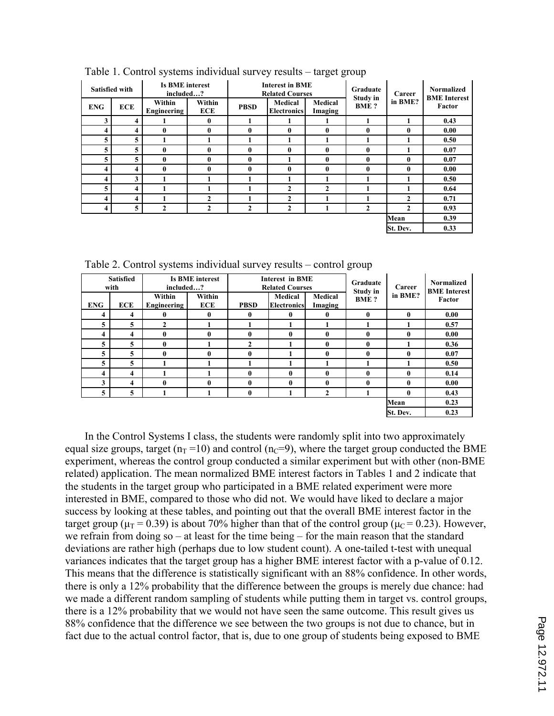| <b>Satisfied with</b> |            | <b>Is BME interest</b><br>included? |                      |              | <b>Interest in BME</b><br><b>Related Courses</b> |                    | Graduate                | Career       | <b>Normalized</b><br><b>BME</b> Interest |
|-----------------------|------------|-------------------------------------|----------------------|--------------|--------------------------------------------------|--------------------|-------------------------|--------------|------------------------------------------|
| <b>ENG</b>            | <b>ECE</b> | Within<br>Engineering               | Within<br><b>ECE</b> | <b>PBSD</b>  | Medical<br><b>Electronics</b>                    | Medical<br>Imaging | Study in<br><b>BME?</b> | in BME?      | Factor                                   |
| 3                     | 4          |                                     | 0                    |              |                                                  |                    |                         | 1            | 0.43                                     |
| 4                     | 4          | 0                                   | $\bf{0}$             | $\bf{0}$     | $\mathbf{0}$                                     | 0                  | $\mathbf{0}$            | $\mathbf{0}$ | 0.00                                     |
| 5                     | 5          |                                     | 1                    | 1            |                                                  |                    |                         | 1            | 0.50                                     |
| 5                     | 5          | 0                                   | $\bf{0}$             | $\bf{0}$     | $\bf{0}$                                         | $\mathbf{0}$       | $\mathbf{0}$            | $\mathbf{1}$ | 0.07                                     |
| 5                     | 5          | 0                                   | $\bf{0}$             | $\bf{0}$     |                                                  | 0                  | $\mathbf{0}$            | $\mathbf{0}$ | 0.07                                     |
| 4                     | 4          | 0                                   | $\mathbf{0}$         | $\mathbf{0}$ | $\mathbf{0}$                                     | 0                  | $\mathbf{0}$            | 0            | 0.00                                     |
| 4                     | 3          |                                     | 1                    |              |                                                  |                    |                         | 1            | 0.50                                     |
| 5                     | 4          |                                     | 1                    |              | $\mathbf{2}$                                     | $\mathbf{2}$       |                         |              | 0.64                                     |
| 4                     | 4          |                                     | $\overline{2}$       |              | $\overline{2}$                                   |                    |                         | $\mathbf{2}$ | 0.71                                     |
| 4                     | 5          | $\overline{2}$                      | $\mathbf{2}$         | $\mathbf{2}$ | $\mathbf{2}$                                     |                    | $\mathbf{2}$            | $\mathbf{2}$ | 0.93                                     |
|                       |            |                                     |                      |              |                                                  |                    |                         | Mean         | 0.39                                     |
|                       |            |                                     |                      |              |                                                  |                    |                         | St. Dev.     | 0.33                                     |
|                       |            |                                     |                      |              |                                                  |                    |                         |              |                                          |

Table 1. Control systems individual survey results – target group

| <b>Satisfied</b><br>with |                         | <b>Is BME interest</b><br>included? |                      |             | <b>Interest in BME</b><br><b>Related Courses</b> |                    | Graduate<br><b>Study in</b> | Career       | <b>Normalized</b><br><b>BME</b> Interest |
|--------------------------|-------------------------|-------------------------------------|----------------------|-------------|--------------------------------------------------|--------------------|-----------------------------|--------------|------------------------------------------|
| <b>ENG</b>               | <b>ECE</b>              | Within<br>Engineering               | Within<br><b>ECE</b> | <b>PBSD</b> | Medical<br><b>Electronics</b>                    | Medical<br>Imaging | <b>BME?</b>                 | in BME?      | Factor                                   |
| 4                        | 4                       | 0                                   | $\bf{0}$             | $\bf{0}$    | 0                                                | $\mathbf{0}$       | $\mathbf{0}$                | $\mathbf{0}$ | 0.00                                     |
| 5                        | 5                       | $\mathbf{2}$                        |                      |             |                                                  |                    |                             |              | 0.57                                     |
| 4                        | $\overline{\mathbf{4}}$ | 0                                   | $\bf{0}$             | $\bf{0}$    | $\mathbf{0}$                                     | $\mathbf{0}$       | $\mathbf{0}$                | 0            | 0.00                                     |
| 5                        | 5                       | 0                                   |                      | 2           |                                                  | $\mathbf{0}$       | 0                           |              | 0.36                                     |
| 5                        | 5                       | 0                                   | $\bf{0}$             | $\bf{0}$    |                                                  | $\mathbf{0}$       | $\mathbf{0}$                | 0            | 0.07                                     |
| 5                        | 5                       |                                     |                      |             |                                                  |                    |                             |              | 0.50                                     |
| $\overline{\mathbf{4}}$  | $\overline{\mathbf{4}}$ |                                     |                      | $\bf{0}$    | $\mathbf{0}$                                     | $\mathbf{0}$       | $\mathbf{0}$                | 0            | 0.14                                     |
| 3                        | $\overline{\mathbf{4}}$ | $\mathbf{0}$                        | 0                    | $\bf{0}$    | $\mathbf{0}$                                     | $\mathbf{0}$       | $\mathbf{0}$                | $\mathbf{0}$ | 0.00                                     |
| 5                        | 5                       |                                     |                      | $\bf{0}$    |                                                  | $\mathbf{2}$       |                             | $\mathbf{0}$ | 0.43                                     |
|                          |                         |                                     |                      |             |                                                  |                    |                             | Mean         | 0.23                                     |
|                          |                         |                                     |                      |             |                                                  |                    |                             | St. Dev.     | 0.23                                     |

Table 2. Control systems individual survey results – control group

In the Control Systems I class, the students were randomly split into two approximately equal size groups, target ( $n_T = 10$ ) and control ( $n_C = 9$ ), where the target group conducted the BME experiment, whereas the control group conducted a similar experiment but with other (non-BME related) application. The mean normalized BME interest factors in Tables 1 and 2 indicate that the students in the target group who participated in a BME related experiment were more interested in BME, compared to those who did not. We would have liked to declare a major success by looking at these tables, and pointing out that the overall BME interest factor in the target group ( $\mu$ <sup>T</sup> = 0.39) is about 70% higher than that of the control group ( $\mu$ <sup>C</sup> = 0.23). However, we refrain from doing so – at least for the time being – for the main reason that the standard deviations are rather high (perhaps due to low student count). A one-tailed t-test with unequal variances indicates that the target group has a higher BME interest factor with a p-value of 0.12. This means that the difference is statistically significant with an 88% confidence. In other words, there is only a 12% probability that the difference between the groups is merely due chance: had we made a different random sampling of students while putting them in target vs. control groups, there is a 12% probability that we would not have seen the same outcome. This result gives us 88% confidence that the difference we see between the two groups is not due to chance, but in fact due to the actual control factor, that is, due to one group of students being exposed to BME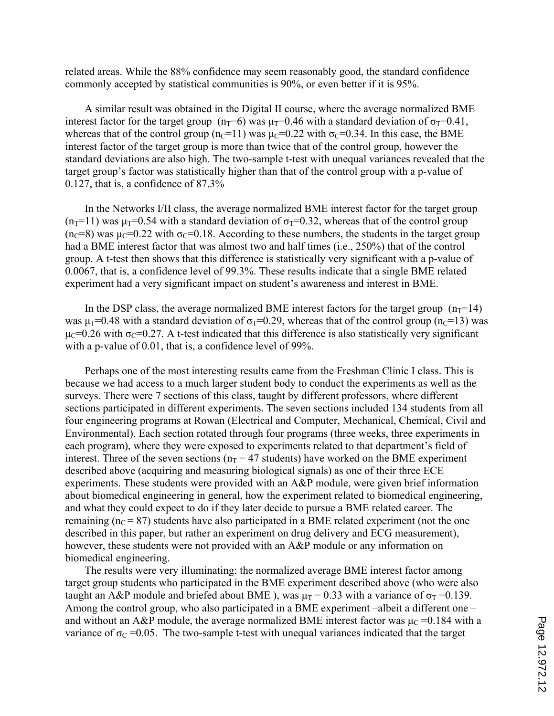related areas. While the 88% confidence may seem reasonably good, the standard confidence commonly accepted by statistical communities is 90%, or even better if it is 95%.

A similar result was obtained in the Digital II course, where the average normalized BME interest factor for the target group ( $n_T=6$ ) was  $\mu_T=0.46$  with a standard deviation of  $\sigma_T=0.41$ , whereas that of the control group (n<sub>C</sub>=11) was  $\mu$ <sub>C</sub>=0.22 with  $\sigma$ <sub>C</sub>=0.34. In this case, the BME interest factor of the target group is more than twice that of the control group, however the standard deviations are also high. The two-sample t-test with unequal variances revealed that the target group's factor was statistically higher than that of the control group with a p-value of 0.127, that is, a confidence of 87.3%

In the Networks I/II class, the average normalized BME interest factor for the target group  $(n_T=11)$  was  $\mu_T=0.54$  with a standard deviation of  $\sigma_T=0.32$ , whereas that of the control group  $(n<sub>C</sub>=8)$  was  $\mu<sub>C</sub>=0.22$  with  $\sigma<sub>C</sub>=0.18$ . According to these numbers, the students in the target group had a BME interest factor that was almost two and half times (i.e., 250%) that of the control group. A t-test then shows that this difference is statistically very significant with a p-value of 0.0067, that is, a confidence level of 99.3%. These results indicate that a single BME related experiment had a very significant impact on student's awareness and interest in BME.

In the DSP class, the average normalized BME interest factors for the target group  $(n_T=14)$ was  $\mu_T=0.48$  with a standard deviation of  $\sigma_T=0.29$ , whereas that of the control group (n<sub>C</sub>=13) was  $\mu$ <sup>-0.26</sup> with  $\sigma$ <sup>-0.27</sup>. A t-test indicated that this difference is also statistically very significant with a p-value of 0.01, that is, a confidence level of 99%.

Perhaps one of the most interesting results came from the Freshman Clinic I class. This is because we had access to a much larger student body to conduct the experiments as well as the surveys. There were 7 sections of this class, taught by different professors, where different sections participated in different experiments. The seven sections included 134 students from all four engineering programs at Rowan (Electrical and Computer, Mechanical, Chemical, Civil and Environmental). Each section rotated through four programs (three weeks, three experiments in each program), where they were exposed to experiments related to that department's field of interest. Three of the seven sections ( $n_T = 47$  students) have worked on the BME experiment described above (acquiring and measuring biological signals) as one of their three ECE experiments. These students were provided with an A&P module, were given brief information about biomedical engineering in general, how the experiment related to biomedical engineering, and what they could expect to do if they later decide to pursue a BME related career. The remaining ( $n<sub>C</sub> = 87$ ) students have also participated in a BME related experiment (not the one described in this paper, but rather an experiment on drug delivery and ECG measurement), however, these students were not provided with an A&P module or any information on biomedical engineering.

The results were very illuminating: the normalized average BME interest factor among target group students who participated in the BME experiment described above (who were also taught an A&P module and briefed about BME), was  $\mu_T = 0.33$  with a variance of  $\sigma_T = 0.139$ . Among the control group, who also participated in a BME experiment –albeit a different one – and without an A&P module, the average normalized BME interest factor was  $\mu_C = 0.184$  with a variance of  $\sigma_c$  =0.05. The two-sample t-test with unequal variances indicated that the target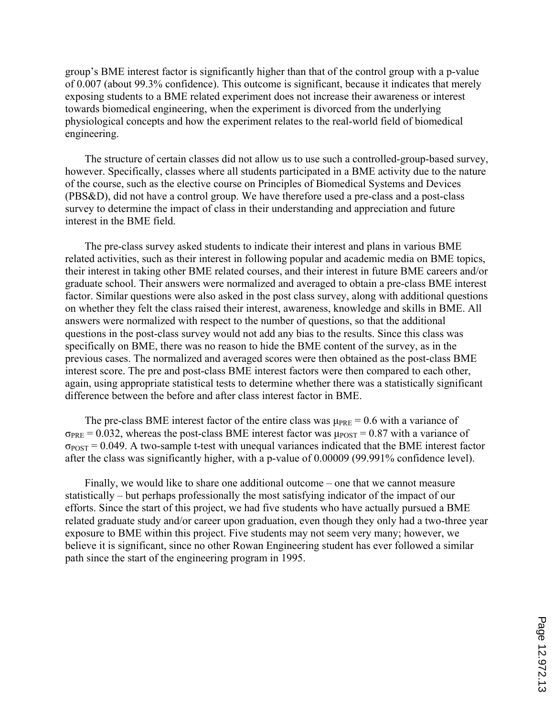group's BME interest factor is significantly higher than that of the control group with a p-value of 0.007 (about 99.3% confidence). This outcome is significant, because it indicates that merely exposing students to a BME related experiment does not increase their awareness or interest towards biomedical engineering, when the experiment is divorced from the underlying physiological concepts and how the experiment relates to the real-world field of biomedical engineering.

The structure of certain classes did not allow us to use such a controlled-group-based survey, however. Specifically, classes where all students participated in a BME activity due to the nature of the course, such as the elective course on Principles of Biomedical Systems and Devices (PBS&D), did not have a control group. We have therefore used a pre-class and a post-class survey to determine the impact of class in their understanding and appreciation and future interest in the BME field.

The pre-class survey asked students to indicate their interest and plans in various BME related activities, such as their interest in following popular and academic media on BME topics, their interest in taking other BME related courses, and their interest in future BME careers and/or graduate school. Their answers were normalized and averaged to obtain a pre-class BME interest factor. Similar questions were also asked in the post class survey, along with additional questions on whether they felt the class raised their interest, awareness, knowledge and skills in BME. All answers were normalized with respect to the number of questions, so that the additional questions in the post-class survey would not add any bias to the results. Since this class was specifically on BME, there was no reason to hide the BME content of the survey, as in the previous cases. The normalized and averaged scores were then obtained as the post-class BME interest score. The pre and post-class BME interest factors were then compared to each other, again, using appropriate statistical tests to determine whether there was a statistically significant difference between the before and after class interest factor in BME.

The pre-class BME interest factor of the entire class was  $\mu_{PRE} = 0.6$  with a variance of  $\sigma_{PRE}$  = 0.032, whereas the post-class BME interest factor was  $\mu_{POST}$  = 0.87 with a variance of  $\sigma_{POST} = 0.049$ . A two-sample t-test with unequal variances indicated that the BME interest factor after the class was significantly higher, with a p-value of 0.00009 (99.991% confidence level).

Finally, we would like to share one additional outcome – one that we cannot measure statistically – but perhaps professionally the most satisfying indicator of the impact of our efforts. Since the start of this project, we had five students who have actually pursued a BME related graduate study and/or career upon graduation, even though they only had a two-three year exposure to BME within this project. Five students may not seem very many; however, we believe it is significant, since no other Rowan Engineering student has ever followed a similar path since the start of the engineering program in 1995.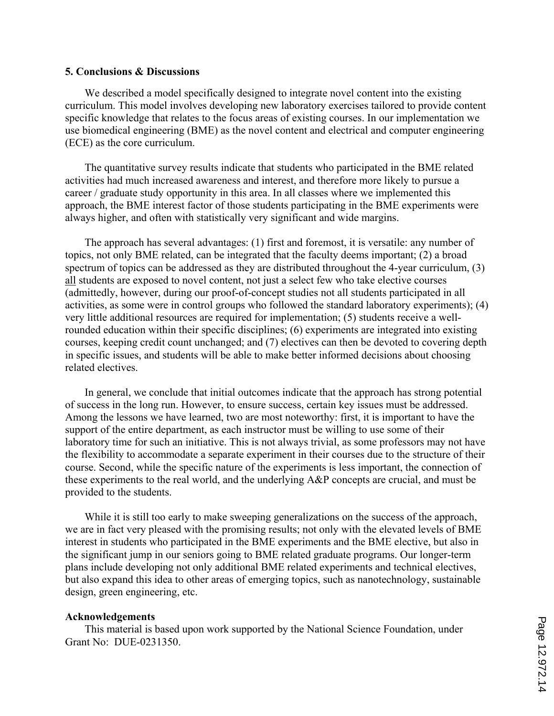#### **5. Conclusions & Discussions**

We described a model specifically designed to integrate novel content into the existing curriculum. This model involves developing new laboratory exercises tailored to provide content specific knowledge that relates to the focus areas of existing courses. In our implementation we use biomedical engineering (BME) as the novel content and electrical and computer engineering (ECE) as the core curriculum.

The quantitative survey results indicate that students who participated in the BME related activities had much increased awareness and interest, and therefore more likely to pursue a career / graduate study opportunity in this area. In all classes where we implemented this approach, the BME interest factor of those students participating in the BME experiments were always higher, and often with statistically very significant and wide margins.

The approach has several advantages: (1) first and foremost, it is versatile: any number of topics, not only BME related, can be integrated that the faculty deems important; (2) a broad spectrum of topics can be addressed as they are distributed throughout the 4-year curriculum, (3) all students are exposed to novel content, not just a select few who take elective courses (admittedly, however, during our proof-of-concept studies not all students participated in all activities, as some were in control groups who followed the standard laboratory experiments); (4) very little additional resources are required for implementation; (5) students receive a wellrounded education within their specific disciplines; (6) experiments are integrated into existing courses, keeping credit count unchanged; and (7) electives can then be devoted to covering depth in specific issues, and students will be able to make better informed decisions about choosing related electives.

In general, we conclude that initial outcomes indicate that the approach has strong potential of success in the long run. However, to ensure success, certain key issues must be addressed. Among the lessons we have learned, two are most noteworthy: first, it is important to have the support of the entire department, as each instructor must be willing to use some of their laboratory time for such an initiative. This is not always trivial, as some professors may not have the flexibility to accommodate a separate experiment in their courses due to the structure of their course. Second, while the specific nature of the experiments is less important, the connection of these experiments to the real world, and the underlying A&P concepts are crucial, and must be provided to the students.

While it is still too early to make sweeping generalizations on the success of the approach, we are in fact very pleased with the promising results; not only with the elevated levels of BME interest in students who participated in the BME experiments and the BME elective, but also in the significant jump in our seniors going to BME related graduate programs. Our longer-term plans include developing not only additional BME related experiments and technical electives, but also expand this idea to other areas of emerging topics, such as nanotechnology, sustainable design, green engineering, etc.

#### **Acknowledgements**

This material is based upon work supported by the National Science Foundation, under Grant No: DUE-0231350.